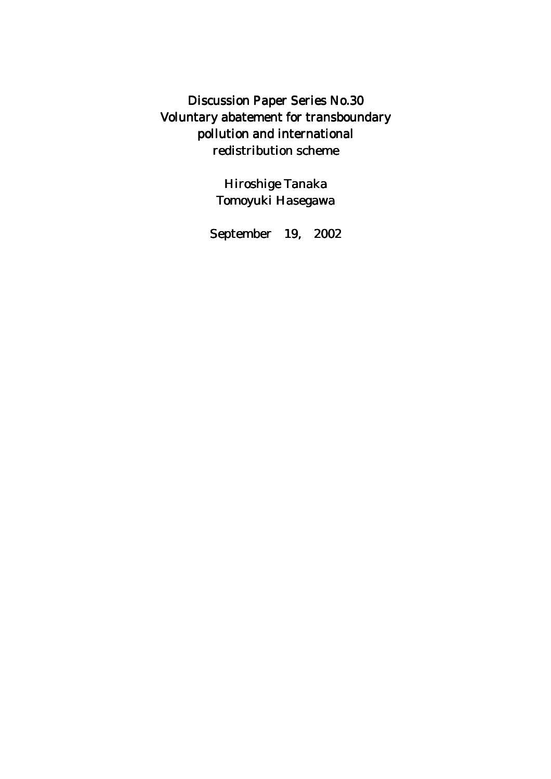Discussion Paper Series No.30 Voluntary abatement for transboundary pollution and international redistribution scheme

> Hiroshige Tanaka Tomoyuki Hasegawa

September 19, 2002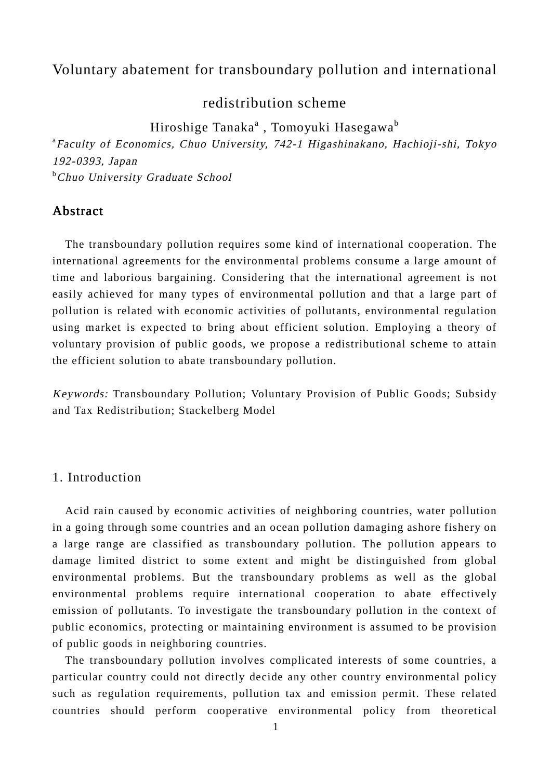# Voluntary abatement for transboundary pollution and international

redistribution scheme

Hiroshige Tanaka<sup>a</sup> , Tomoyuki Hasegawa<sup>b</sup>

<sup>a</sup> Faculty of Economics, Chuo University, 742-1 Higashinakano, Hachioji-shi, Tokyo 192-0393, Japan **<sup>b</sup>Chuo University Graduate School** 

# Abstract

 The transboundary pollution requires some kind of international cooperation. The international agreements for the environmental problems consume a large amount of time and laborious bargaining. Considering that the international agreement is not easily achieved for many types of environmental pollution and that a large part of pollution is related with economic activities of pollutants, environmental regulation using market is expected to bring about efficient solution. Employing a theory of voluntary provision of public goods, we propose a redistributional scheme to attain the efficient solution to abate transboundary pollution.

Keywords: Transboundary Pollution; Voluntary Provision of Public Goods; Subsidy and Tax Redistribution; Stackelberg Model

# 1. Introduction

 Acid rain caused by economic activities of neighboring countries, water pollution in a going through some countries and an ocean pollution damaging ashore fishery on a large range are classified as transboundary pollution. The pollution appears to damage limited district to some extent and might be distinguished from global environmental problems. But the transboundary problems as well as the global environmental problems require international cooperation to abate effectively emission of pollutants. To investigate the transboundary pollution in the context of public economics, protecting or maintaining environment is assumed to be provision of public goods in neighboring countries.

 The transboundary pollution involves complicated interests of some countries, a particular country could not directly decide any other country environmental policy such as regulation requirements, pollution tax and emission permit. These related countries should perform cooperative environmental policy from theoretical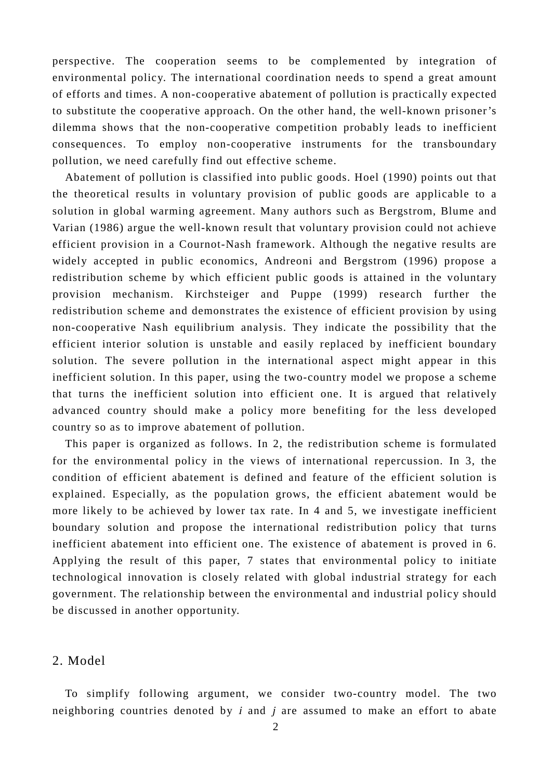perspective. The cooperation seems to be complemented by integration of environmental policy. The international coordination needs to spend a great amount of efforts and times. A non-cooperative abatement of pollution is practically expected to substitute the cooperative approach. On the other hand, the well-known prisoner's dilemma shows that the non-cooperative competition probably leads to inefficient consequences. To employ non-cooperative instruments for the transboundary pollution, we need carefully find out effective scheme.

 Abatement of pollution is classified into public goods. Hoel (1990) points out that the theoretical results in voluntary provision of public goods are applicable to a solution in global warming agreement. Many authors such as Bergstrom, Blume and Varian (1986) argue the well-known result that voluntary provision could not achieve efficient provision in a Cournot-Nash framework. Although the negative results are widely accepted in public economics, Andreoni and Bergstrom (1996) propose a redistribution scheme by which efficient public goods is attained in the voluntary provision mechanism. Kirchsteiger and Puppe (1999) research further the redistribution scheme and demonstrates the existence of efficient provision by using non-cooperative Nash equilibrium analysis. They indicate the possibility that the efficient interior solution is unstable and easily replaced by inefficient boundary solution. The severe pollution in the international aspect might appear in this inefficient solution. In this paper, using the two-country model we propose a scheme that turns the inefficient solution into efficient one. It is argued that relatively advanced country should make a policy more benefiting for the less developed country so as to improve abatement of pollution.

 This paper is organized as follows. In 2, the redistribution scheme is formulated for the environmental policy in the views of international repercussion. In 3, the condition of efficient abatement is defined and feature of the efficient solution is explained. Especially, as the population grows, the efficient abatement would be more likely to be achieved by lower tax rate. In 4 and 5, we investigate inefficient boundary solution and propose the international redistribution policy that turns inefficient abatement into efficient one. The existence of abatement is proved in 6. Applying the result of this paper, 7 states that environmental policy to initiate technological innovation is closely related with global industrial strategy for each government. The relationship between the environmental and industrial policy should be discussed in another opportunity.

#### 2. Model

 To simplify following argument, we consider two-country model. The two neighboring countries denoted by  $i$  and  $j$  are assumed to make an effort to abate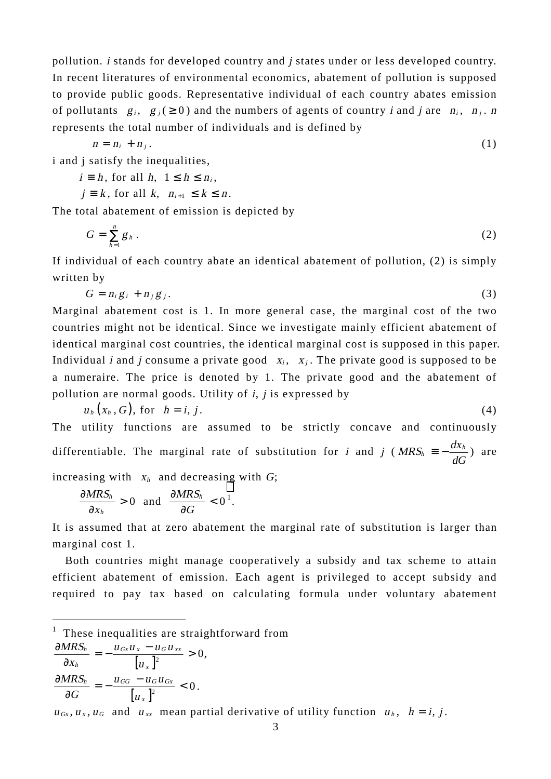pollution. i stands for developed country and j states under or less developed country. In recent literatures of environmental economics, abatement of pollution is supposed to provide public goods. Representative individual of each country abates emission of pollutants  $g_i$ ,  $g_j$  (  $\geq$  0) and the numbers of agents of country *i* and *j* are  $n_i$ ,  $n_j$ . *n* represents the total number of individuals and is defined by

$$
n = n_i + n_j. \tag{1}
$$

i and j satisfy the inequalities,

$$
i \equiv h, \text{ for all } h, \ 1 \leq h \leq n_i,
$$

 $j \equiv k$ , for all  $k$ ,  $n_{i+1} \leq k \leq n$ .

The total abatement of emission is depicted by

$$
G = \sum_{h=1}^{n} g_h \tag{2}
$$

If individual of each country abate an identical abatement of pollution, (2) is simply written by

$$
G = n_i g_i + n_j g_j. \tag{3}
$$

Marginal abatement cost is 1. In more general case, the marginal cost of the two countries might not be identical. Since we investigate mainly efficient abatement of identical marginal cost countries, the identical marginal cost is supposed in this paper. Individual *i* and *j* consume a private good  $x_i$ ,  $x_j$ . The private good is supposed to be a numeraire. The price is denoted by 1. The private good and the abatement of pollution are normal goods. Utility of  $i$ ,  $j$  is expressed by

$$
u_h(x_h, G), \text{ for } h = i, j. \tag{4}
$$

The utility functions are assumed to be strictly concave and continuously differentiable. The marginal rate of substitution for *i* and *j* ( $MRS_h = -\frac{dx_h}{dG}$ ) are increasing with  $x_h$  and decreasing with  $G$ ;

$$
\frac{\partial MRS_h}{\partial x_h} > 0 \text{ and } \frac{\partial MRS_h}{\partial G} < 0^1.
$$

It is assumed that at zero abatement the marginal rate of substitution is larger than marginal cost 1.

 Both countries might manage cooperatively a subsidy and tax scheme to attain efficient abatement of emission. Each agent is privileged to accept subsidy and required to pay tax based on calculating formula under voluntary abatement

 $<sup>1</sup>$  These inequalities are straightforward from</sup>

$$
\frac{\partial MRS_h}{\partial x_h} = -\frac{u_{Gx}u_x - u_G u_{xx}}{[u_x]^2} > 0,
$$
  

$$
\frac{\partial MRS_h}{\partial G} = -\frac{u_{GG} - u_G u_{Gx}}{[u_x]^2} < 0.
$$

 $\overline{a}$ 

 $u_{Gx}, u_x, u_G$  and  $u_{xx}$  mean partial derivative of utility function  $u_h$ ,  $h = i, j$ .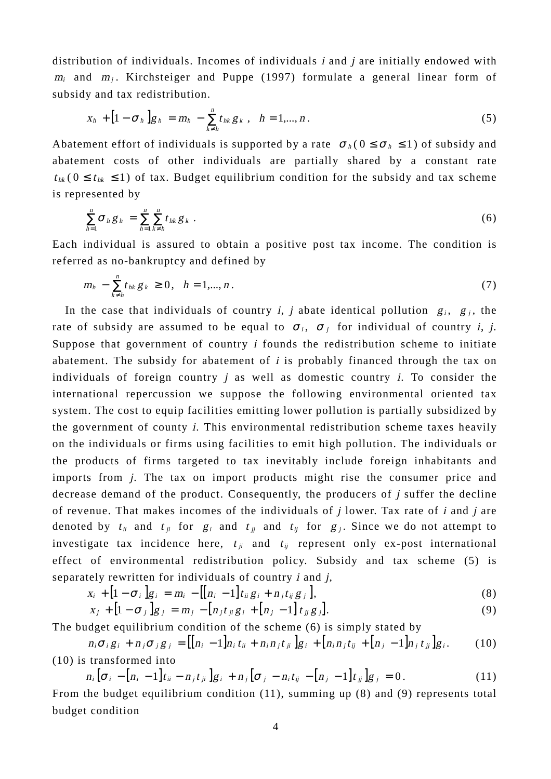distribution of individuals. Incomes of individuals *i* and *j* are initially endowed with  $m_i$  and  $m_j$ . Kirchsteiger and Puppe (1997) formulate a general linear form of subsidy and tax redistribution.

$$
x_h + [1 - \sigma_h] g_h = m_h - \sum_{k \neq h}^{n} t_{hk} g_k, \quad h = 1,...,n.
$$
 (5)

Abatement effort of individuals is supported by a rate  $\sigma_h (0 \le \sigma_h \le 1)$  of subsidy and abatement costs of other individuals are partially shared by a constant rate  $t_{hk}$  (  $0 \le t_{hk} \le 1$ ) of tax. Budget equilibrium condition for the subsidy and tax scheme is represented by

$$
\sum_{h=1}^n \sigma_h g_h = \sum_{h=1}^n \sum_{k \neq h}^n t_{hk} g_k \tag{6}
$$

Each individual is assured to obtain a positive post tax income. The condition is referred as no-bankruptcy and defined by

$$
m_h - \sum_{k \neq h}^{n} t_{hk} g_k \geq 0, \quad h = 1, ..., n. \tag{7}
$$

In the case that individuals of country *i*, *j* abate identical pollution  $g_i$ ,  $g_j$ , the rate of subsidy are assumed to be equal to  $\sigma_i$ ,  $\sigma_j$  for individual of country i, j. Suppose that government of country i founds the redistribution scheme to initiate abatement. The subsidy for abatement of *i* is probably financed through the tax on individuals of foreign country  $j$  as well as domestic country  $i$ . To consider the international repercussion we suppose the following environmental oriented tax system. The cost to equip facilities emitting lower pollution is partially subsidized by the government of county i. This environmental redistribution scheme taxes heavily on the individuals or firms using facilities to emit high pollution. The individuals or the products of firms targeted to tax inevitably include foreign inhabitants and imports from j. The tax on import products might rise the consumer price and decrease demand of the product. Consequently, the producers of j suffer the decline of revenue. That makes incomes of the individuals of  $j$  lower. Tax rate of  $i$  and  $j$  are denoted by  $t_{ii}$  and  $t_{jj}$  for  $g_i$  and  $t_{jj}$  and  $t_{ij}$  for  $g_j$ . Since we do not attempt to investigate tax incidence here,  $t_{ii}$  and  $t_{ii}$  represent only ex-post international effect of environmental redistribution policy. Subsidy and tax scheme (5) is separately rewritten for individuals of country  $i$  and  $j$ ,

$$
x_i + [1 - \sigma_i]g_i = m_i - [[n_i - 1]t_{ii}g_i + n_jt_{ij}g_j], \qquad (8)
$$

$$
x_j + [1 - \sigma_j]g_j = m_j - [n_j t_{ji} g_i + [n_j - 1] t_{jj} g_j].
$$
\n(9)

The budget equilibrium condition of the scheme (6) is simply stated by

$$
n_i \sigma_i g_i + n_j \sigma_j g_j = [[n_i - 1]n_i t_{ii} + n_i n_j t_{ji}]g_i + [n_i n_j t_{ij} + [n_j - 1]n_j t_{jj}]g_i.
$$
 (10) is transformed into

$$
n_i \left[ \sigma_i - [n_i - 1] t_{ii} - n_j t_{ji} \right] g_i + n_j \left[ \sigma_j - n_i t_{ij} - [n_j - 1] t_{jj} \right] g_j = 0. \tag{11}
$$

From the budget equilibrium condition (11), summing up (8) and (9) represents total budget condition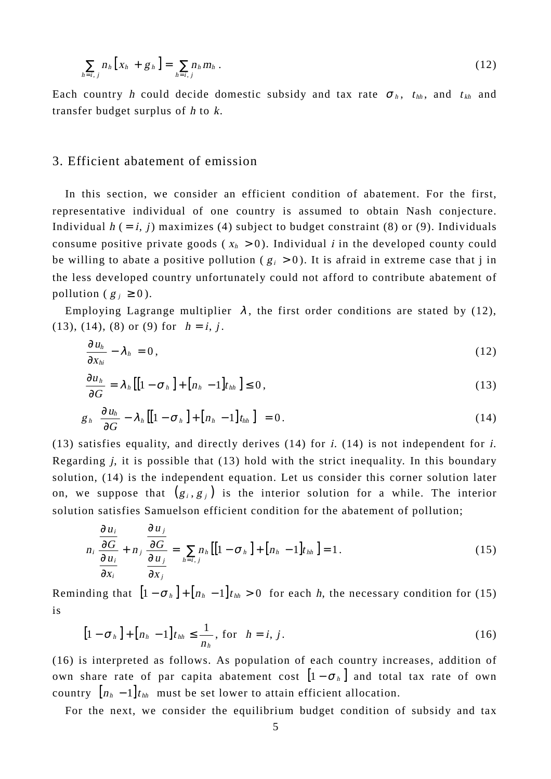$$
\sum_{h=i, j} n_h \left[ x_h + g_h \right] = \sum_{h=i, j} n_h m_h \,. \tag{12}
$$

Each country h could decide domestic subsidy and tax rate  $\sigma_h$ ,  $t_{hh}$ , and  $t_{kh}$  and transfer budget surplus of h to k.

#### 3. Efficient abatement of emission

In this section, we consider an efficient condition of abatement. For the first, representative individual of one country is assumed to obtain Nash conjecture. Individual  $h$  (= i, j) maximizes (4) subject to budget constraint (8) or (9). Individuals consume positive private goods ( $x_h > 0$ ). Individual *i* in the developed county could be willing to abate a positive pollution ( $g_i > 0$ ). It is afraid in extreme case that j in the less developed country unfortunately could not afford to contribute abatement of pollution ( $g_j \ge 0$ ).

Employing Lagrange multiplier  $\lambda$ , the first order conditions are stated by (12), (13), (14), (8) or (9) for  $h = i, j$ .

$$
\frac{\partial u_h}{\partial x_{hi}} - \lambda_h = 0, \qquad (12)
$$

$$
\frac{\partial u_h}{\partial G} = \lambda_h \left[ \left[ 1 - \sigma_h \right] + \left[ n_h - 1 \right] t_{hh} \right] \le 0, \qquad (13)
$$

$$
g_{h}\left[\frac{\partial u_{h}}{\partial G}-\lambda_{h}\left[\left[1-\sigma_{h}\right]+\left[n_{h}-1\right]t_{h h}\right]\right]=0.
$$
\n(14)

(13) satisfies equality, and directly derives (14) for i. (14) is not independent for i. Regarding *j*, it is possible that  $(13)$  hold with the strict inequality. In this boundary solution, (14) is the independent equation. Let us consider this corner solution later on, we suppose that  $(g_i, g_j)$  is the interior solution for a while. The interior solution satisfies Samuelson efficient condition for the abatement of pollution;

$$
n_i \frac{\partial u_i}{\partial x_i} + n_j \frac{\partial u_j}{\partial x_j} = \sum_{h=i,j} n_h [[1 - \sigma_h] + [n_h - 1]t_{hh}] = 1.
$$
 (15)

Reminding that  $[1 - \sigma_h] + [n_h - 1]t_{hh} > 0$  for each h, the necessary condition for (15) is

$$
\left[1-\sigma_h\right]+\left[n_h-1\right]t_{hh}\leq\frac{1}{n_h},\text{ for }h=i,j.
$$
 (16)

(16) is interpreted as follows. As population of each country increases, addition of own share rate of par capita abatement cost  $\left[1 - \sigma_h\right]$  and total tax rate of own country  $[n_h - 1]$  t<sub>hh</sub> must be set lower to attain efficient allocation.

For the next, we consider the equilibrium budget condition of subsidy and tax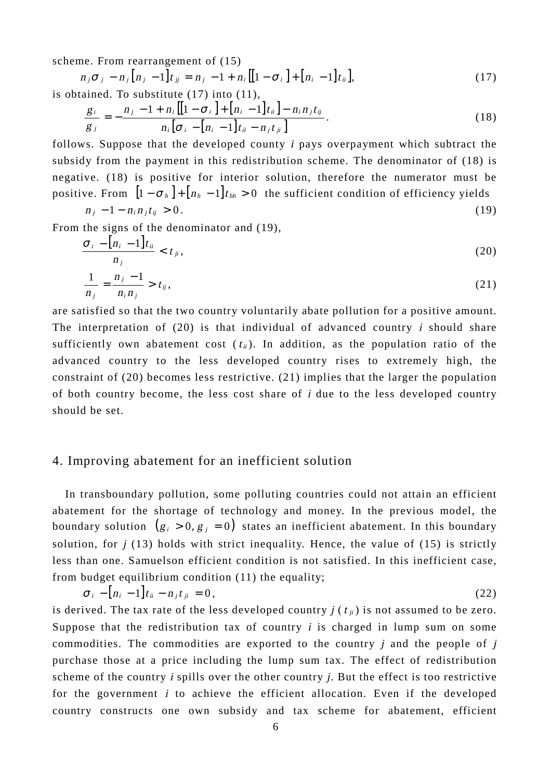scheme. From rearrangement of (15)

$$
n_j \sigma_j - n_j [n_j - 1] t_{jj} = n_j - 1 + n_i [[1 - \sigma_i] + [n_i - 1] t_{jj}],
$$
  
is obtained. To substitute (17) into (11),

$$
\frac{g_i}{g_j} = -\frac{n_j - 1 + n_i [[1 - \sigma_i] + [n_i - 1]t_{ii}] - n_i n_j t_{ij}}{n_i [\sigma_i - [n_i - 1]t_{ii} - n_j t_{ji}]}.
$$
\n(18)

follows. Suppose that the developed county i pays overpayment which subtract the subsidy from the payment in this redistribution scheme. The denominator of (18) is negative. (18) is positive for interior solution, therefore the numerator must be positive. From  $[1 - \sigma_h] + [n_h - 1]t_{hh} > 0$  the sufficient condition of efficiency yields  $n_i - 1 - n_i n_i t_{ii} > 0$ . (19)

From the signs of the denominator and (19),

$$
\frac{\sigma_i - [n_i - 1]t_{ii}}{n_j} < t_{ji},\tag{20}
$$

$$
\frac{1}{n_j} = \frac{n_j - 1}{n_i n_j} > t_{ij},
$$
\n(21)

are satisfied so that the two country voluntarily abate pollution for a positive amount. The interpretation of  $(20)$  is that individual of advanced country *i* should share sufficiently own abatement cost  $(t_{ii})$ . In addition, as the population ratio of the advanced country to the less developed country rises to extremely high, the constraint of (20) becomes less restrictive. (21) implies that the larger the population of both country become, the less cost share of i due to the less developed country should be set.

# 4. Improving abatement for an inefficient solution

 In transboundary pollution, some polluting countries could not attain an efficient abatement for the shortage of technology and money. In the previous model, the boundary solution  $(g_i > 0, g_j = 0)$  states an inefficient abatement. In this boundary solution, for  $j(13)$  holds with strict inequality. Hence, the value of (15) is strictly less than one. Samuelson efficient condition is not satisfied. In this inefficient case, from budget equilibrium condition (11) the equality;

$$
\sigma_i - [n_i - 1]t_{ii} - n_j t_{ji} = 0, \qquad (22)
$$

is derived. The tax rate of the less developed country  $j(t_{ii})$  is not assumed to be zero. Suppose that the redistribution tax of country  $i$  is charged in lump sum on some commodities. The commodities are exported to the country  $i$  and the people of  $i$ purchase those at a price including the lump sum tax. The effect of redistribution scheme of the country  $i$  spills over the other country  $i$ . But the effect is too restrictive for the government  $i$  to achieve the efficient allocation. Even if the developed country constructs one own subsidy and tax scheme for abatement, efficient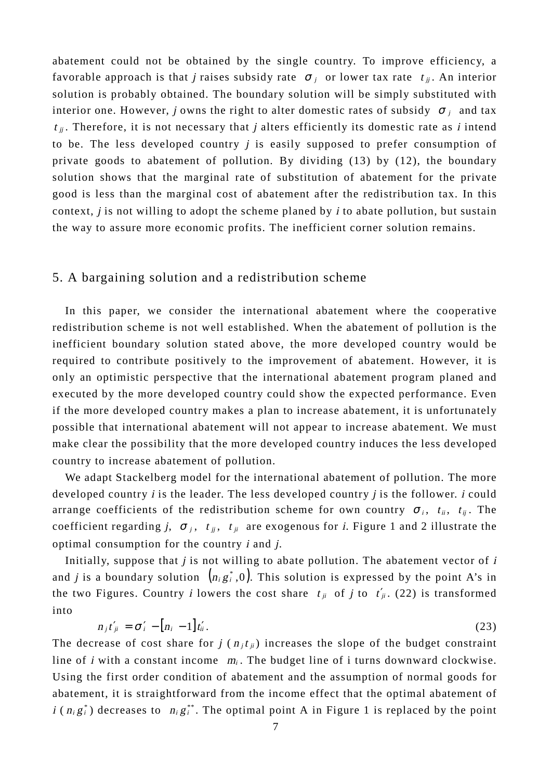abatement could not be obtained by the single country. To improve efficiency, a favorable approach is that *j* raises subsidy rate  $\sigma_i$  or lower tax rate  $t_{ij}$ . An interior solution is probably obtained. The boundary solution will be simply substituted with interior one. However, j owns the right to alter domestic rates of subsidy  $\sigma_i$  and tax  $t_{ij}$ . Therefore, it is not necessary that j alters efficiently its domestic rate as i intend to be. The less developed country  $j$  is easily supposed to prefer consumption of private goods to abatement of pollution. By dividing (13) by (12), the boundary solution shows that the marginal rate of substitution of abatement for the private good is less than the marginal cost of abatement after the redistribution tax. In this context,  $j$  is not willing to adopt the scheme planed by  $i$  to abate pollution, but sustain the way to assure more economic profits. The inefficient corner solution remains.

#### 5. A bargaining solution and a redistribution scheme

 In this paper, we consider the international abatement where the cooperative redistribution scheme is not well established. When the abatement of pollution is the inefficient boundary solution stated above, the more developed country would be required to contribute positively to the improvement of abatement. However, it is only an optimistic perspective that the international abatement program planed and executed by the more developed country could show the expected performance. Even if the more developed country makes a plan to increase abatement, it is unfortunately possible that international abatement will not appear to increase abatement. We must make clear the possibility that the more developed country induces the less developed country to increase abatement of pollution.

 We adapt Stackelberg model for the international abatement of pollution. The more developed country *i* is the leader. The less developed country *j* is the follower. *i* could arrange coefficients of the redistribution scheme for own country  $\sigma_i$ ,  $t_{ii}$ ,  $t_{ii}$ . The coefficient regarding j,  $\sigma_j$ ,  $t_{ij}$ ,  $t_{ji}$  are exogenous for i. Figure 1 and 2 illustrate the optimal consumption for the country  $i$  and  $j$ .

Initially, suppose that  $j$  is not willing to abate pollution. The abatement vector of  $i$ and *j* is a boundary solution  $(n_i g_i^*, 0)$ . This solution is expressed by the point A's in the two Figures. Country *i* lowers the cost share  $t_{ji}$  of *j* to  $t'_{ji}$ . (22) is transformed into

$$
n_j t'_{ji} = \sigma'_i - [n_i - 1]t'_{ii}.
$$
\n
$$
(23)
$$

The decrease of cost share for  $j(n_i t_{ii})$  increases the slope of the budget constraint line of *i* with a constant income  $m_i$ . The budget line of *i* turns downward clockwise. Using the first order condition of abatement and the assumption of normal goods for abatement, it is straightforward from the income effect that the optimal abatement of  $i$  ( $n_i g_i^*$ ) decreases to  $n_i g_i^{**}$ . The optimal point A in Figure 1 is replaced by the point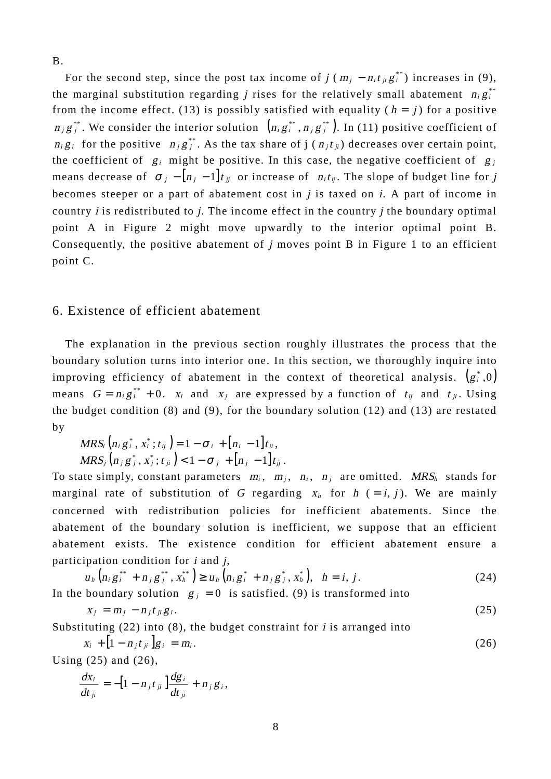B.

For the second step, since the post tax income of  $j (m_i - n_i t_{ii} g_i^{**})$  increases in (9), the marginal substitution regarding *j* rises for the relatively small abatement  $n_i g_i^{**}$ from the income effect. (13) is possibly satisfied with equality ( $h = j$ ) for a positive  $n_i g_i^{**}$ . We consider the interior solution  $(n_i g_i^{**}, n_i g_i^{**})$ . In (11) positive coefficient of  $n_i g_i$  for the positive  $n_j g_j^{**}$ . As the tax share of j ( $n_j t_{ij}$ ) decreases over certain point, the coefficient of  $g_i$  might be positive. In this case, the negative coefficient of  $g_i$ means decrease of  $\sigma_i - [n_i - 1]t_{ij}$  or increase of  $n_i t_{ij}$ . The slope of budget line for j becomes steeper or a part of abatement cost in  $j$  is taxed on  $i$ . A part of income in country  $i$  is redistributed to  $j$ . The income effect in the country  $j$  the boundary optimal point A in Figure 2 might move upwardly to the interior optimal point B. Consequently, the positive abatement of  $j$  moves point B in Figure 1 to an efficient point C.

# 6. Existence of efficient abatement

 The explanation in the previous section roughly illustrates the process that the boundary solution turns into interior one. In this section, we thoroughly inquire into improving efficiency of abatement in the context of theoretical analysis.  $(g_i^*,0)$ means  $G = n_i g_i^{**} + 0$ .  $x_i$  and  $x_j$  are expressed by a function of  $t_{ij}$  and  $t_{ji}$ . Using the budget condition (8) and (9), for the boundary solution (12) and (13) are restated by

$$
MRS_i\left(n_i g_i^*, x_i^*; t_{ij}\right) = 1 - \sigma_i + [n_i - 1]t_{ii},
$$
  

$$
MRS_j\left(n_j g_j^*, x_j^*; t_{ji}\right) < 1 - \sigma_j + [n_j - 1]t_{jj}.
$$

To state simply, constant parameters  $m_i$ ,  $m_j$ ,  $n_j$ ,  $n_j$  are omitted. MRS<sub>h</sub> stands for marginal rate of substitution of G regarding  $x_h$  for  $h$  (= i, j). We are mainly concerned with redistribution policies for inefficient abatements. Since the abatement of the boundary solution is inefficient, we suppose that an efficient abatement exists. The existence condition for efficient abatement ensure a participation condition for  $i$  and  $j$ ,

$$
u_h (n_i g_i^{**} + n_j g_j^{**}, x_h^{**}) \ge u_h (n_i g_i^* + n_j g_j^*, x_h^*), \quad h = i, j.
$$
\n(24)

\nIn the boundary solution  $g_j = 0$  is satisfied. (9) is transformed into

$$
x_j = m_j - n_j t_{ji} g_i. \tag{25}
$$

Substituting  $(22)$  into  $(8)$ , the budget constraint for *i* is arranged into

$$
x_i + [1 - n_j t_{ji}] g_i = m_i.
$$
 (26)

Using (25) and (26),

$$
\frac{dx_i}{dt_{ji}} = -[1 - n_j t_{ji}] \frac{dg_i}{dt_{ji}} + n_j g_i,
$$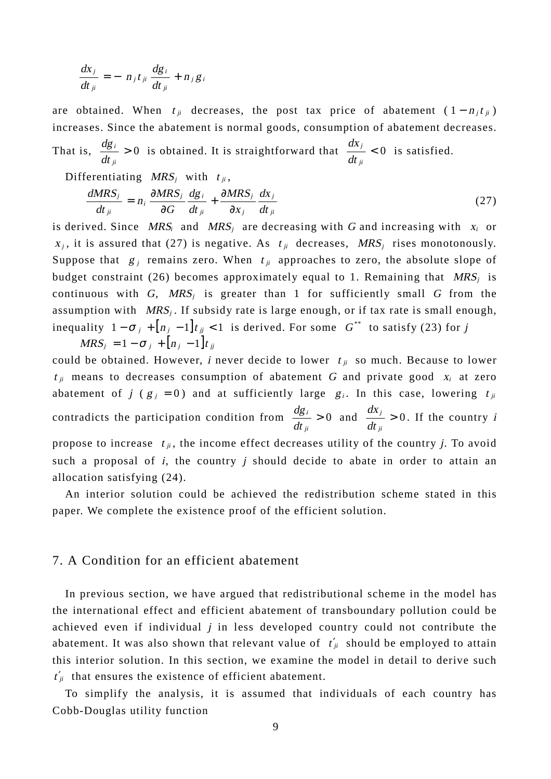$$
\frac{dx_j}{dt_{ji}} = -\left[n_j t_{ji} \frac{dg_i}{dt_{ji}} + n_j g_i\right]
$$

are obtained. When  $t_{ji}$  decreases, the post tax price of abatement  $(1 - n_i t_{ji})$ increases. Since the abatement is normal goods, consumption of abatement decreases. That is,  $\frac{dS_l}{dt} > 0$ ji i  $\frac{dg_i}{dt_{ii}} > 0$  is obtained. It is straightforward that  $\frac{dx_j}{dt_{ii}} < 0$ ji j dt  $\frac{dx_j}{dt}$  < 0 is satisfied.

Differentiating 
$$
MRS_j
$$
 with  $t_{ji}$ ,

$$
\frac{dMRS_j}{dt_{ji}} = n_i \frac{\partial MRS_j}{\partial G} \frac{dg_i}{dt_{ji}} + \frac{\partial MRS_j}{\partial x_j} \frac{dx_j}{dt_{ji}} \tag{27}
$$

is derived. Since  $MRS_i$  and  $MRS_j$  are decreasing with G and increasing with  $x_i$  or  $x_j$ , it is assured that (27) is negative. As  $t_{ji}$  decreases, MRS<sub>j</sub> rises monotonously. Suppose that  $g_i$  remains zero. When  $t_{ii}$  approaches to zero, the absolute slope of budget constraint (26) becomes approximately equal to 1. Remaining that  $MRS_i$  is continuous with G,  $MRS_i$  is greater than 1 for sufficiently small G from the assumption with  $MRS_j$ . If subsidy rate is large enough, or if tax rate is small enough, inequality  $1 - \sigma_j + [n_j - 1]t_{jj} < 1$  is derived. For some  $G^{**}$  to satisfy (23) for j  $MRS_i = 1 - \sigma_i + [n_i - 1]t_{ii}$ 

could be obtained. However, *i* never decide to lower  $t_{ij}$  so much. Because to lower  $t_{ji}$  means to decreases consumption of abatement G and private good  $x_i$  at zero abatement of j ( $g_j = 0$ ) and at sufficiently large  $g_i$ . In this case, lowering  $t_{ji}$ contradicts the participation condition from  $\frac{dS_l}{dt} > 0$ ji i  $\frac{dg_i}{dt_{ii}} > 0$  and  $\frac{dx_j}{dt_{ii}} > 0$ ji j dt  $\frac{dx_j}{dt} > 0$ . If the country *i* propose to increase  $t_{ij}$ , the income effect decreases utility of the country j. To avoid such a proposal of  $i$ , the country  $j$  should decide to abate in order to attain an allocation satisfying (24).

 An interior solution could be achieved the redistribution scheme stated in this paper. We complete the existence proof of the efficient solution.

#### 7. A Condition for an efficient abatement

 In previous section, we have argued that redistributional scheme in the model has the international effect and efficient abatement of transboundary pollution could be achieved even if individual  $j$  in less developed country could not contribute the abatement. It was also shown that relevant value of  $t'_{ji}$  should be employed to attain this interior solution. In this section, we examine the model in detail to derive such  $t'_{ji}$  that ensures the existence of efficient abatement.

 To simplify the analysis, it is assumed that individuals of each country has Cobb-Douglas utility function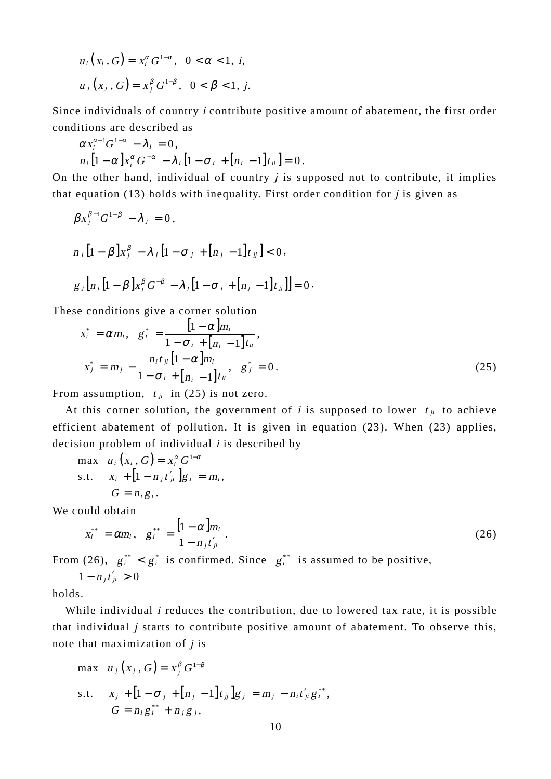$$
u_i(x_i, G) = x_i^{\alpha} G^{1-\alpha}, \ \ 0 < \alpha < 1, \ i,
$$
  

$$
u_j(x_j, G) = x_j^{\beta} G^{1-\beta}, \ \ 0 < \beta < 1, \ j.
$$

Since individuals of country i contribute positive amount of abatement, the first order conditions are described as

$$
\alpha x_i^{\alpha-1}G^{1-\alpha} - \lambda_i = 0,
$$
  
\n
$$
n_i \left[1 - \alpha\right] x_i^{\alpha} G^{-\alpha} - \lambda_i \left[1 - \sigma_i + \left[n_i - 1\right]t_{ii}\right] = 0.
$$

On the other hand, individual of country  $j$  is supposed not to contribute, it implies that equation (13) holds with inequality. First order condition for  $j$  is given as

$$
\beta x_j^{\beta-1} G^{1-\beta} - \lambda_j = 0,
$$
  
\n
$$
n_j [1 - \beta] x_j^{\beta} - \lambda_j [1 - \sigma_j + [n_j - 1]t_{jj}] < 0,
$$
  
\n
$$
g_j [n_j [1 - \beta] x_j^{\beta} G^{-\beta} - \lambda_j [1 - \sigma_j + [n_j - 1]t_{jj}]] = 0.
$$

These conditions give a corner solution

$$
x_{i}^{*} = \alpha m_{i}, \quad g_{i}^{*} = \frac{\left[1 - \alpha\right]m_{i}}{1 - \sigma_{i} + \left[n_{i} - 1\right]t_{ii}},
$$
\n
$$
x_{j}^{*} = m_{j} - \frac{n_{i}t_{ji}\left[1 - \alpha\right]m_{i}}{1 - \sigma_{i} + \left[n_{i} - 1\right]t_{ii}}, \quad g_{j}^{*} = 0.
$$
\n(25)

From assumption,  $t_{ii}$  in (25) is not zero.

At this corner solution, the government of i is supposed to lower  $t_{ij}$  to achieve efficient abatement of pollution. It is given in equation (23). When (23) applies, decision problem of individual  $i$  is described by

$$
\begin{aligned}\n\max \quad & u_i\left(x_i, G\right) = x_i^{\alpha} G^{1-\alpha} \\
\text{s.t.} \quad & x_i + \left[1 - n_j t'_{ji}\right] g_i = m_i, \\
 & G = n_i g_i.\n\end{aligned}
$$

We could obtain

$$
x_i^{**} = \alpha m_i, \quad g_i^{**} = \frac{[1-\alpha]m_i}{1-n_jt'_{ji}}.
$$
\n(26)

From (26),  $g_i^{**} < g_i^*$  is confirmed. Since  $g_i^{**}$  is assumed to be positive,

$$
1-n_jt'_{ji}>0
$$

holds.

While individual *i* reduces the contribution, due to lowered tax rate, it is possible that individual j starts to contribute positive amount of abatement. To observe this, note that maximization of  $j$  is

max 
$$
u_j(x_j, G) = x_j^{\beta} G^{1-\beta}
$$
  
s.t.  $x_j + [1 - \sigma_j + [n_j - 1]t_{jj}]g_j = m_j - n_i t'_{ji} g_i^{**}$ ,  
 $G = n_i g_i^{**} + n_j g_j$ ,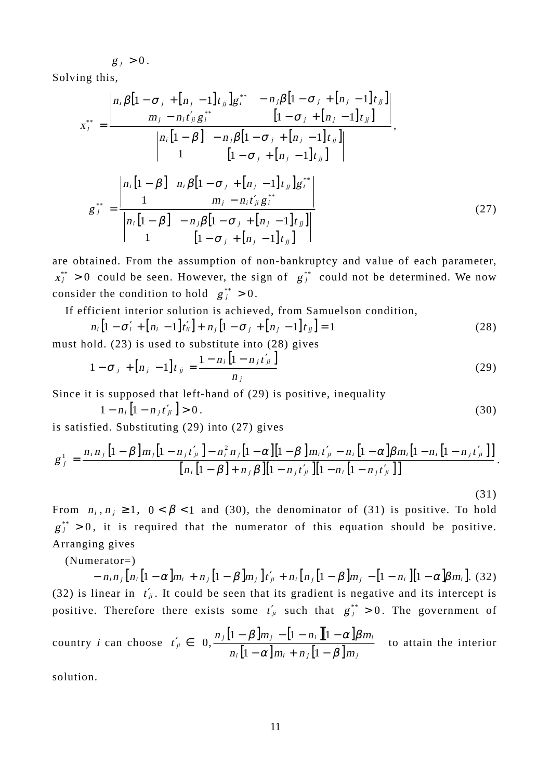$g_i > 0$ .

Solving this,

$$
x_{j}^{**} = \frac{\begin{vmatrix} n_{i} \beta \left[ 1 - \sigma_{j} + \left[ n_{j} - 1 \right] t_{j j} \right] g_{i}^{**} & -n_{j} \beta \left[ 1 - \sigma_{j} + \left[ n_{j} - 1 \right] t_{j j} \right] \right|}{m_{j} - n_{i} t_{j}^{'} g_{i}^{**} & \left[ 1 - \sigma_{j} + \left[ n_{j} - 1 \right] t_{j j} \right]} \end{vmatrix}}{\begin{vmatrix} n_{i} \left[ 1 - \beta \right] & -n_{j} \beta \left[ 1 - \sigma_{j} + \left[ n_{j} - 1 \right] t_{j j} \right] \right]} \end{vmatrix}}{\begin{vmatrix} n_{i} \left[ 1 - \beta \right] & n_{i} \beta \left[ 1 - \sigma_{j} + \left[ n_{j} - 1 \right] t_{j j} \right] g_{i}^{**} \end{vmatrix}}{\begin{vmatrix} n_{i} \left[ 1 - \beta \right] & n_{i} \beta \left[ 1 - \sigma_{j} + \left[ n_{j} - 1 \right] t_{j j} \right] g_{i}^{**} \end{vmatrix}} \begin{vmatrix} n_{i} \left[ 1 - \beta \right] & -n_{j} \beta \left[ 1 - \sigma_{j} + \left[ n_{j} - 1 \right] t_{j j} \right] \right]} \begin{vmatrix} n_{i} \left[ 1 - \beta \right] & -n_{j} \beta \left[ 1 - \sigma_{j} + \left[ n_{j} - 1 \right] t_{j j} \right] \end{vmatrix} (27)
$$

are obtained. From the assumption of non-bankruptcy and value of each parameter,  $x_i^{**} > 0$  could be seen. However, the sign of  $g_i^{**}$  could not be determined. We now consider the condition to hold  $g_i^{**} > 0$ .

If efficient interior solution is achieved, from Samuelson condition,

$$
n_i \left[ 1 - \sigma'_i + \left[ n_i - 1 \right] t'_{ii} \right] + n_j \left[ 1 - \sigma_j + \left[ n_j - 1 \right] t_{jj} \right] = 1 \tag{28}
$$

must hold.  $(23)$  is used to substitute into  $(28)$  gives

$$
1 - \sigma_j + [n_j - 1]t_{jj} = \frac{1 - n_i [1 - n_j t'_{jj}]}{n_j}
$$
 (29)

Since it is supposed that left-hand of (29) is positive, inequality

$$
1 - n_i \left[ 1 - n_j t'_{ji} \right] > 0. \tag{30}
$$

(31)

is satisfied. Substituting (29) into (27) gives

$$
g_j^1 = \frac{n_i n_j [1 - \beta] m_j [1 - n_j t'_{ji}] - n_i^2 n_j [1 - \alpha] [1 - \beta] m_i t'_{ji} - n_i [1 - \alpha] \beta m_i [1 - n_j t'_{ji}] }{[n_i [1 - \beta] + n_j \beta] [1 - n_j t'_{ji}] [1 - n_j t'_{ji}] }.
$$

From  $n_i, n_j \ge 1$ ,  $0 < \beta < 1$  and (30), the denominator of (31) is positive. To hold  $g_j^{**} > 0$ , it is required that the numerator of this equation should be positive. Arranging gives

(Numerator=)

 $n_i = n_i n_i [ n_i [ 1 - \alpha ] m_i + n_i [ 1 - \beta ] m_i ] t'_i + n_i [ n_i [ 1 - \beta ] m_i - [ 1 - n_i ] [ 1 - \alpha ] \beta m_i ]. (32)$ (32) is linear in  $t_{ji}$ . It could be seen that its gradient is negative and its intercept is positive. Therefore there exists some  $t'_{ji}$  such that  $g^{**}_{j} > 0$ . The government of

country *i* can choose 
$$
t'_{ji} \in \left(0, \frac{n_j \left[1 - \beta \right] m_j - \left[1 - n_i \right] \left[1 - \alpha \right] \beta m_i}{n_i \left[1 - \alpha \right] m_i + n_j \left[1 - \beta \right] m_j}\right)
$$
 to attain the interior

solution.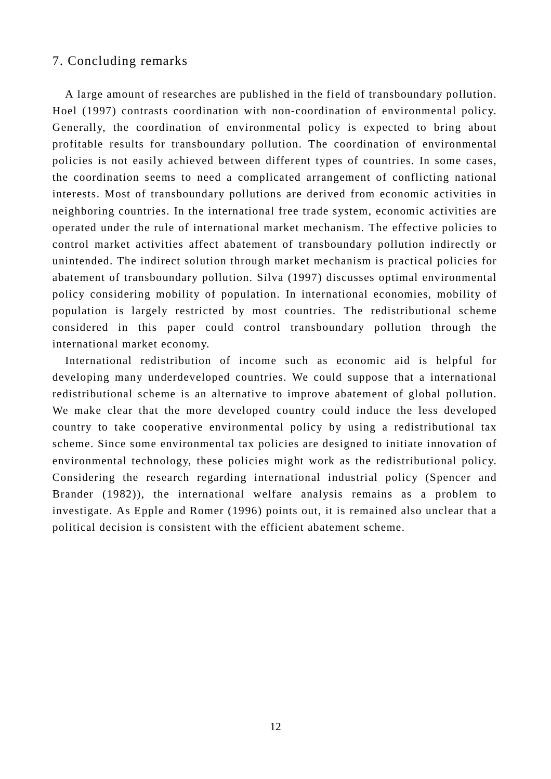### 7. Concluding remarks

 A large amount of researches are published in the field of transboundary pollution. Hoel (1997) contrasts coordination with non-coordination of environmental policy. Generally, the coordination of environmental policy is expected to bring about profitable results for transboundary pollution. The coordination of environmental policies is not easily achieved between different types of countries. In some cases, the coordination seems to need a complicated arrangement of conflicting national interests. Most of transboundary pollutions are derived from economic activities in neighboring countries. In the international free trade system, economic activities are operated under the rule of international market mechanism. The effective policies to control market activities affect abatement of transboundary pollution indirectly or unintended. The indirect solution through market mechanism is practical policies for abatement of transboundary pollution. Silva (1997) discusses optimal environmental policy considering mobility of population. In international economies, mobility of population is largely restricted by most countries. The redistributional scheme considered in this paper could control transboundary pollution through the international market economy.

 International redistribution of income such as economic aid is helpful for developing many underdeveloped countries. We could suppose that a international redistributional scheme is an alternative to improve abatement of global pollution. We make clear that the more developed country could induce the less developed country to take cooperative environmental policy by using a redistributional tax scheme. Since some environmental tax policies are designed to initiate innovation of environmental technology, these policies might work as the redistributional policy. Considering the research regarding international industrial policy (Spencer and Brander (1982)), the international welfare analysis remains as a problem to investigate. As Epple and Romer (1996) points out, it is remained also unclear that a political decision is consistent with the efficient abatement scheme.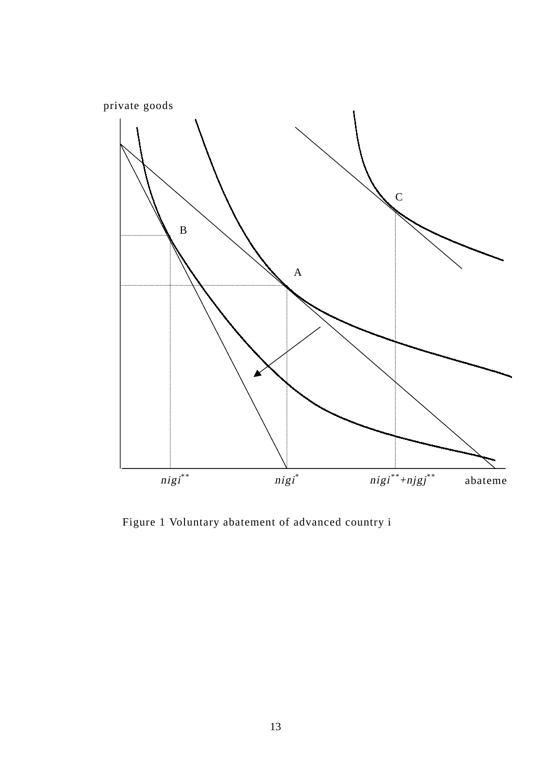

Figure 1 Voluntary abatement of advanced country i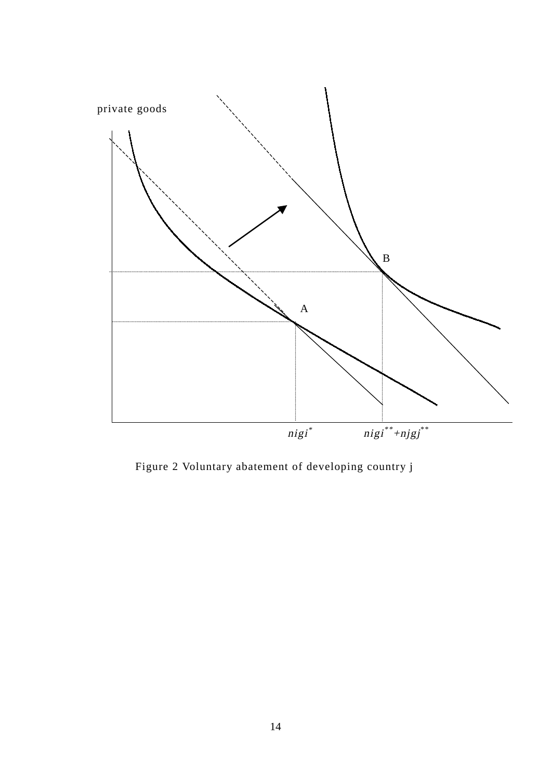

Figure 2 Voluntary abatement of developing country j